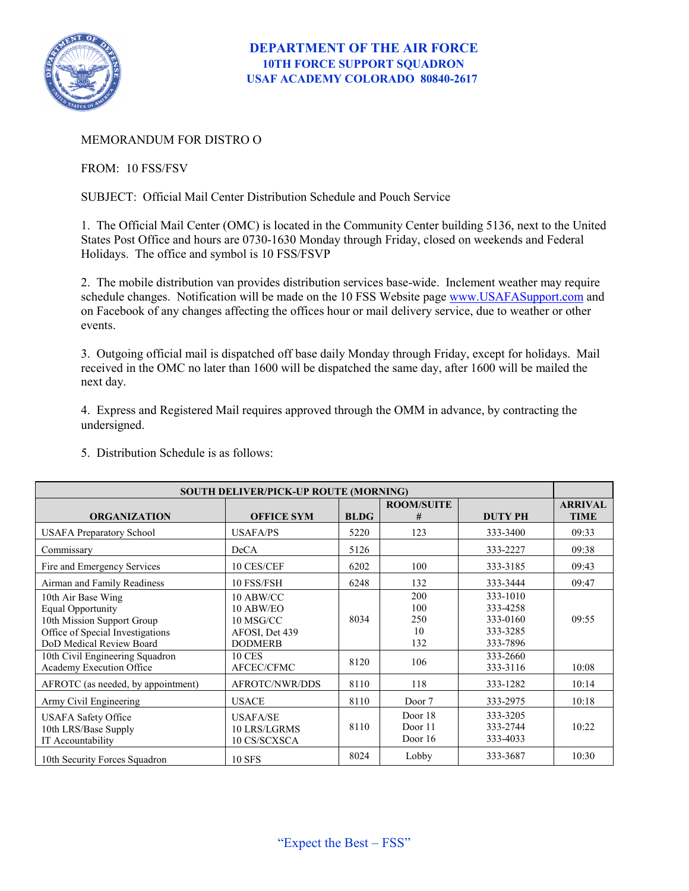

## MEMORANDUM FOR DISTRO O

FROM: 10 FSS/FSV

SUBJECT: Official Mail Center Distribution Schedule and Pouch Service

1. The Official Mail Center (OMC) is located in the Community Center building 5136, next to the United States Post Office and hours are 0730-1630 Monday through Friday, closed on weekends and Federal Holidays. The office and symbol is 10 FSS/FSVP

2. The mobile distribution van provides distribution services base-wide. Inclement weather may require schedule changes. Notification will be made on the 10 FSS Website page [www.USAFASupport.com](http://www.usafasupport.com/) and on Facebook of any changes affecting the offices hour or mail delivery service, due to weather or other events.

3. Outgoing official mail is dispatched off base daily Monday through Friday, except for holidays. Mail received in the OMC no later than 1600 will be dispatched the same day, after 1600 will be mailed the next day.

4. Express and Registered Mail requires approved through the OMM in advance, by contracting the undersigned.

| <b>SOUTH DELIVER/PICK-UP ROUTE (MORNING)</b>                                                                                                 |                                                                         |             |                                |                                                          |                               |
|----------------------------------------------------------------------------------------------------------------------------------------------|-------------------------------------------------------------------------|-------------|--------------------------------|----------------------------------------------------------|-------------------------------|
| <b>ORGANIZATION</b>                                                                                                                          | <b>OFFICE SYM</b>                                                       | <b>BLDG</b> | <b>ROOM/SUITE</b><br>#         | <b>DUTY PH</b>                                           | <b>ARRIVAL</b><br><b>TIME</b> |
| <b>USAFA Preparatory School</b>                                                                                                              | <b>USAFA/PS</b>                                                         | 5220        | 123                            | 333-3400                                                 | 09:33                         |
| Commissary                                                                                                                                   | DeCA                                                                    | 5126        |                                | 333-2227                                                 | 09:38                         |
| Fire and Emergency Services                                                                                                                  | 10 CES/CEF                                                              | 6202        | 100                            | 333-3185                                                 | 09:43                         |
| Airman and Family Readiness                                                                                                                  | 10 FSS/FSH                                                              | 6248        | 132                            | 333-3444                                                 | 09:47                         |
| 10th Air Base Wing<br><b>Equal Opportunity</b><br>10th Mission Support Group<br>Office of Special Investigations<br>DoD Medical Review Board | 10 ABW/CC<br>10 ABW/EO<br>10 MSG/CC<br>AFOSI, Det 439<br><b>DODMERB</b> | 8034        | 200<br>100<br>250<br>10<br>132 | 333-1010<br>333-4258<br>333-0160<br>333-3285<br>333-7896 | 09:55                         |
| 10th Civil Engineering Squadron<br>Academy Execution Office                                                                                  | <b>10 CES</b><br>AFCEC/CFMC                                             | 8120        | 106                            | 333-2660<br>333-3116                                     | 10:08                         |
| AFROTC (as needed, by appointment)                                                                                                           | AFROTC/NWR/DDS                                                          | 8110        | 118                            | 333-1282                                                 | 10:14                         |
| Army Civil Engineering                                                                                                                       | <b>USACE</b>                                                            | 8110        | Door 7                         | 333-2975                                                 | 10:18                         |
| <b>USAFA Safety Office</b><br>10th LRS/Base Supply<br>IT Accountability                                                                      | <b>USAFA/SE</b><br>10 LRS/LGRMS<br>10 CS/SCXSCA                         | 8110        | Door 18<br>Door 11<br>Door 16  | 333-3205<br>333-2744<br>333-4033                         | 10:22                         |
| 10th Security Forces Squadron                                                                                                                | <b>10 SFS</b>                                                           | 8024        | Lobby                          | 333-3687                                                 | 10:30                         |

5. Distribution Schedule is as follows: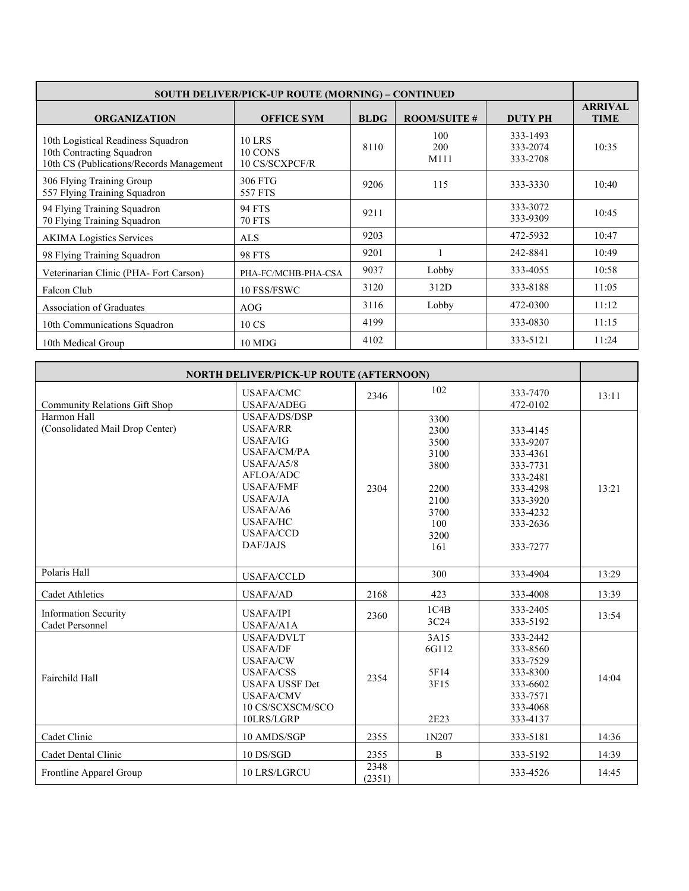| <b>SOUTH DELIVER/PICK-UP ROUTE (MORNING) – CONTINUED</b>                                                    |                                            |             |                     |                                  |                               |
|-------------------------------------------------------------------------------------------------------------|--------------------------------------------|-------------|---------------------|----------------------------------|-------------------------------|
| <b>ORGANIZATION</b>                                                                                         | <b>OFFICE SYM</b>                          | <b>BLDG</b> | <b>ROOM/SUITE #</b> | <b>DUTY PH</b>                   | <b>ARRIVAL</b><br><b>TIME</b> |
| 10th Logistical Readiness Squadron<br>10th Contracting Squadron<br>10th CS (Publications/Records Management | <b>10 LRS</b><br>10 CONS<br>10 CS/SCXPCF/R | 8110        | 100<br>200<br>M111  | 333-1493<br>333-2074<br>333-2708 | 10:35                         |
| 306 Flying Training Group<br>557 Flying Training Squadron                                                   | 306 FTG<br>557 FTS                         | 9206        | 115                 | 333-3330                         | 10:40                         |
| 94 Flying Training Squadron<br>70 Flying Training Squadron                                                  | <b>94 FTS</b><br><b>70 FTS</b>             | 9211        |                     | 333-3072<br>333-9309             | 10:45                         |
| <b>AKIMA</b> Logistics Services                                                                             | <b>ALS</b>                                 | 9203        |                     | 472-5932                         | 10:47                         |
| 98 Flying Training Squadron                                                                                 | <b>98 FTS</b>                              | 9201        |                     | 242-8841                         | 10:49                         |
| Veterinarian Clinic (PHA-Fort Carson)                                                                       | PHA-FC/MCHB-PHA-CSA                        | 9037        | Lobby               | 333-4055                         | 10:58                         |
| Falcon Club                                                                                                 | 10 FSS/FSWC                                | 3120        | 312D                | 333-8188                         | 11:05                         |
| Association of Graduates                                                                                    | AOG                                        | 3116        | Lobby               | 472-0300                         | 11:12                         |
| 10th Communications Squadron                                                                                | 10 CS                                      | 4199        |                     | 333-0830                         | 11:15                         |
| 10th Medical Group                                                                                          | 10 MDG                                     | 4102        |                     | 333-5121                         | 11:24                         |

| <b>NORTH DELIVER/PICK-UP ROUTE (AFTERNOON)</b>        |                                                                                                                                                                                                                  |                |                                                                                    |                                                                                                                      |       |
|-------------------------------------------------------|------------------------------------------------------------------------------------------------------------------------------------------------------------------------------------------------------------------|----------------|------------------------------------------------------------------------------------|----------------------------------------------------------------------------------------------------------------------|-------|
| Community Relations Gift Shop                         | <b>USAFA/CMC</b><br><b>USAFA/ADEG</b>                                                                                                                                                                            | 2346           | 102                                                                                | 333-7470<br>472-0102                                                                                                 | 13:11 |
| Harmon Hall<br>(Consolidated Mail Drop Center)        | <b>USAFA/DS/DSP</b><br><b>USAFA/RR</b><br><b>USAFA/IG</b><br><b>USAFA/CM/PA</b><br>USAFA/45/8<br>AFLOA/ADC<br><b>USAFA/FMF</b><br><b>USAFA/JA</b><br>USAFA/A6<br><b>USAFA/HC</b><br><b>USAFA/CCD</b><br>DAF/JAJS | 2304           | 3300<br>2300<br>3500<br>3100<br>3800<br>2200<br>2100<br>3700<br>100<br>3200<br>161 | 333-4145<br>333-9207<br>333-4361<br>333-7731<br>333-2481<br>333-4298<br>333-3920<br>333-4232<br>333-2636<br>333-7277 | 13:21 |
| Polaris Hall                                          | <b>USAFA/CCLD</b>                                                                                                                                                                                                |                | 300                                                                                | 333-4904                                                                                                             | 13:29 |
| <b>Cadet Athletics</b>                                | <b>USAFA/AD</b>                                                                                                                                                                                                  | 2168           | 423                                                                                | 333-4008                                                                                                             | 13:39 |
| <b>Information Security</b><br><b>Cadet Personnel</b> | <b>USAFA/IPI</b><br>USAFA/A1A                                                                                                                                                                                    | 2360           | 1C4B<br>3C24                                                                       | 333-2405<br>333-5192                                                                                                 | 13:54 |
| Fairchild Hall                                        | USAFA/DVLT<br><b>USAFA/DF</b><br><b>USAFA/CW</b><br><b>USAFA/CSS</b><br><b>USAFA USSF Det</b><br><b>USAFA/CMV</b><br>10 CS/SCXSCM/SCO<br>10LRS/LGRP                                                              | 2354           | 3A15<br>6G112<br>5F14<br>3F15<br>2E23                                              | 333-2442<br>333-8560<br>333-7529<br>333-8300<br>333-6602<br>333-7571<br>333-4068<br>333-4137                         | 14:04 |
| Cadet Clinic                                          | 10 AMDS/SGP                                                                                                                                                                                                      | 2355           | 1N207                                                                              | 333-5181                                                                                                             | 14:36 |
| Cadet Dental Clinic                                   | 10 DS/SGD                                                                                                                                                                                                        | 2355           | B                                                                                  | 333-5192                                                                                                             | 14:39 |
| Frontline Apparel Group                               | 10 LRS/LGRCU                                                                                                                                                                                                     | 2348<br>(2351) |                                                                                    | 333-4526                                                                                                             | 14:45 |